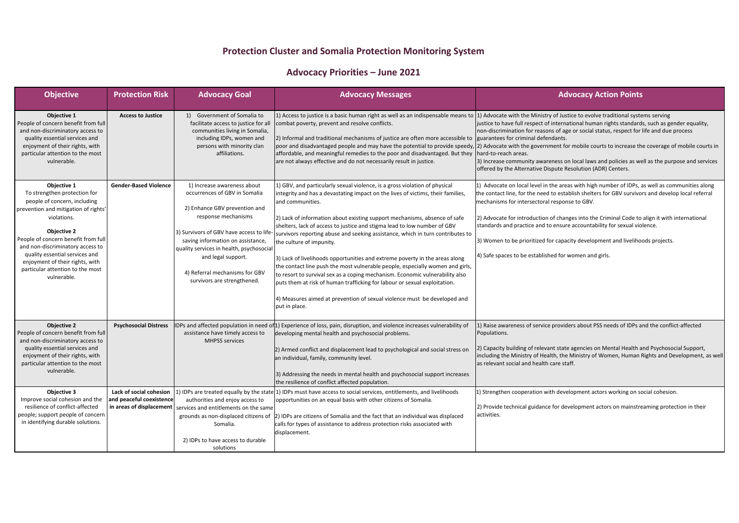## **Protection Cluster and Somalia Protection Monitoring System**

## **Advocacy Priorities – June 2021**

| <b>Objective</b>                                                                                                                                                                                                                                                                                                                                            | <b>Protection Risk</b>                              | <b>Advocacy Goal</b>                                                                                                                                                                                                                                                                                                                     | <b>Advocacy Messages</b>                                                                                                                                                                                                                                                                                                                                                                                                                                                                                                                                                                                                                                                                                                                                                                                                                                                           | Ac                                                                                                                                                                                                                                                                                   |
|-------------------------------------------------------------------------------------------------------------------------------------------------------------------------------------------------------------------------------------------------------------------------------------------------------------------------------------------------------------|-----------------------------------------------------|------------------------------------------------------------------------------------------------------------------------------------------------------------------------------------------------------------------------------------------------------------------------------------------------------------------------------------------|------------------------------------------------------------------------------------------------------------------------------------------------------------------------------------------------------------------------------------------------------------------------------------------------------------------------------------------------------------------------------------------------------------------------------------------------------------------------------------------------------------------------------------------------------------------------------------------------------------------------------------------------------------------------------------------------------------------------------------------------------------------------------------------------------------------------------------------------------------------------------------|--------------------------------------------------------------------------------------------------------------------------------------------------------------------------------------------------------------------------------------------------------------------------------------|
| Objective 1<br>People of concern benefit from full<br>and non-discriminatory access to<br>quality essential services and<br>enjoyment of their rights, with<br>particular attention to the most<br>vulnerable.                                                                                                                                              | <b>Access to Justice</b>                            | Government of Somalia to<br>1)<br>facilitate access to justice for all<br>communities living in Somalia,<br>including IDPs, women and<br>persons with minority clan<br>affiliations.                                                                                                                                                     | 1) Access to justice is a basic human right as well as an indispensable means to 1) Advocate with the Ministry of Jus<br>combat poverty, prevent and resolve conflicts.<br>[2] Informal and traditional mechanisms of justice are often more accessible to guarantees for criminal defendants.<br>poor and disadvantaged people and may have the potential to provide speedy, 2) Advocate with the government fo<br>affordable, and meaningful remedies to the poor and disadvantaged. But they<br>are not always effective and do not necessarily result in justice.                                                                                                                                                                                                                                                                                                              | justice to have full respect of intern<br>non-discrimination for reasons of ag<br>hard-to-reach areas.<br>3) Increase community awareness c<br>offered by the Alternative Dispute R                                                                                                  |
| Objective 1<br>To strengthen protection for<br>people of concern, including<br>prevention and mitigation of rights'<br>violations.<br><b>Objective 2</b><br>People of concern benefit from full<br>and non-discriminatory access to<br>quality essential services and<br>enjoyment of their rights, with<br>particular attention to the most<br>vulnerable. | <b>Gender-Based Violence</b>                        | 1) Increase awareness about<br>occurrences of GBV in Somalia<br>2) Enhance GBV prevention and<br>response mechanisms<br>3) Survivors of GBV have access to life-<br>saving information on assistance,<br>quality services in health, psychosocial<br>and legal support.<br>4) Referral mechanisms for GBV<br>survivors are strengthened. | 1) GBV, and particularly sexual violence, is a gross violation of physical<br>integrity and has a devastating impact on the lives of victims, their families,<br>and communities.<br>2) Lack of information about existing support mechanisms, absence of safe<br>shelters, lack of access to justice and stigma lead to low number of GBV<br>survivors reporting abuse and seeking assistance, which in turn contributes to<br>the culture of impunity.<br>3) Lack of livelihoods opportunities and extreme poverty in the areas along<br>the contact line push the most vulnerable people, especially women and girls,<br>to resort to survival sex as a coping mechanism. Economic vulnerability also<br>puts them at risk of human trafficking for labour or sexual exploitation.<br>4) Measures aimed at prevention of sexual violence must be developed and<br>put in place. | 1) Advocate on local level in the are<br>the contact line, for the need to esta<br>mechanisms for intersectoral respor<br>2) Advocate for introduction of char<br>standards and practice and to ensur<br>3) Women to be prioritized for capa<br>4) Safe spaces to be established for |
| <b>Objective 2</b><br>People of concern benefit from full<br>and non-discriminatory access to<br>quality essential services and<br>enjoyment of their rights, with<br>particular attention to the most<br>vulnerable.                                                                                                                                       | <b>Psychosocial Distress</b>                        | assistance have timely access to<br><b>MHPSS services</b>                                                                                                                                                                                                                                                                                | IDPs and affected population in need of <sup>1</sup> 1) Experience of loss, pain, disruption, and violence increases vulnerability of<br>developing mental health and psychosocial problems.<br>2) Armed conflict and displacement lead to psychological and social stress on<br>an individual, family, community level.<br>3) Addressing the needs in mental health and psychosocial support increases<br>the resilience of conflict affected population.                                                                                                                                                                                                                                                                                                                                                                                                                         | 1) Raise awareness of service provid<br>Populations.<br>2) Capacity building of relevant stat<br>including the Ministry of Health, the<br>as relevant social and health care st                                                                                                      |
| Objective 3<br>Improve social cohesion and the<br>resilience of conflict-affected<br>people; support people of concern<br>in identifying durable solutions.                                                                                                                                                                                                 | Lack of social cohesion<br>and peaceful coexistence | authorities and enjoy access to<br>in areas of displacement $ $ services and entitlements on the same<br>grounds as non-displaced citizens of<br>Somalia.<br>2) IDPs to have access to durable<br>solutions                                                                                                                              | 1) IDPs are treated equally by the state 1) IDPs must have access to social services, entitlements, and livelihoods<br>opportunities on an equal basis with other citizens of Somalia.<br>[2] IDPs are citizens of Somalia and the fact that an individual was displaced<br>calls for types of assistance to address protection risks associated with<br>displacement.                                                                                                                                                                                                                                                                                                                                                                                                                                                                                                             | 1) Strengthen cooperation with deve<br>2) Provide technical guidance for de<br>activities.                                                                                                                                                                                           |

## **Advocacy Action Points**

fustice to evolve traditional systems serving

ernational human rights standards, such as gender equality, of age or social status, respect for life and due process

1t for mobile courts to increase the coverage of mobile courts in

ss on local laws and policies as well as the purpose and services te Resolution (ADR) Centers.

areas with high number of IDPs, as well as communities along establish shelters for GBV survivors and develop local referral sponse to GBV.

changes into the Criminal Code to align it with international nsure accountability for sexual violence.

apacity development and livelihoods projects.

for women and girls.

oviders about PSS needs of IDPs and the conflict-affected

state agencies on Mental Health and Psychosocial Support, the Ministry of Women, Human Rights and Development, as well e staff.

development actors working on social cohesion.

r development actors on mainstreaming protection in their